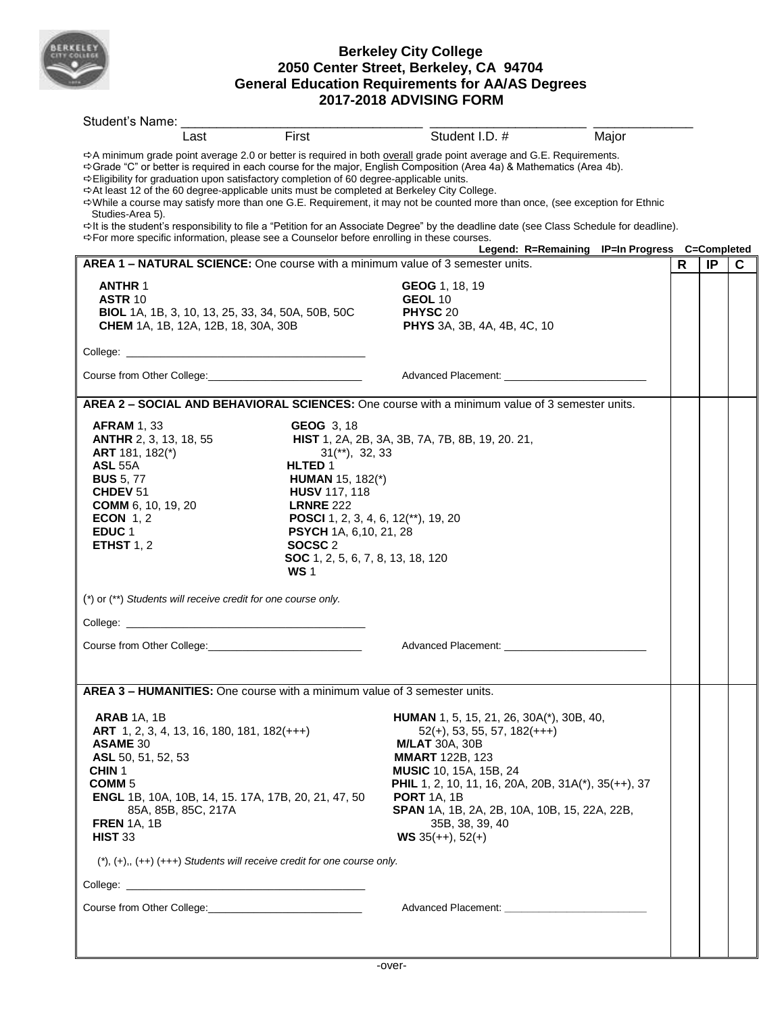

## **Berkeley City College 2050 Center Street, Berkeley, CA 94704 General Education Requirements for AA/AS Degrees 2017-2018 ADVISING FORM**

| Student's Name:                                                                                                                                                                                                                                                                                                                                                     |                                                                                                                                                                                                                                                                                                |                                                                                                                                                                                                                                                                                                                                                                                                                                                                                                                          |       |    |    |   |
|---------------------------------------------------------------------------------------------------------------------------------------------------------------------------------------------------------------------------------------------------------------------------------------------------------------------------------------------------------------------|------------------------------------------------------------------------------------------------------------------------------------------------------------------------------------------------------------------------------------------------------------------------------------------------|--------------------------------------------------------------------------------------------------------------------------------------------------------------------------------------------------------------------------------------------------------------------------------------------------------------------------------------------------------------------------------------------------------------------------------------------------------------------------------------------------------------------------|-------|----|----|---|
| Last                                                                                                                                                                                                                                                                                                                                                                | First                                                                                                                                                                                                                                                                                          | Student I.D. #                                                                                                                                                                                                                                                                                                                                                                                                                                                                                                           | Major |    |    |   |
| ☆Eligibility for graduation upon satisfactory completion of 60 degree-applicable units.<br>$\Rightarrow$ At least 12 of the 60 degree-applicable units must be completed at Berkeley City College.<br>Studies-Area 5).                                                                                                                                              |                                                                                                                                                                                                                                                                                                | ☆A minimum grade point average 2.0 or better is required in both overall grade point average and G.E. Requirements.<br>→ Grade "C" or better is required in each course for the major, English Composition (Area 4a) & Mathematics (Area 4b).<br>⇔While a course may satisfy more than one G.E. Requirement, it may not be counted more than once, (see exception for Ethnic<br>⇔It is the student's responsibility to file a "Petition for an Associate Degree" by the deadline date (see Class Schedule for deadline). |       |    |    |   |
| → For more specific information, please see a Counselor before enrolling in these courses.                                                                                                                                                                                                                                                                          |                                                                                                                                                                                                                                                                                                | Legend: R=Remaining IP=In Progress C=Completed                                                                                                                                                                                                                                                                                                                                                                                                                                                                           |       |    |    |   |
| AREA 1 - NATURAL SCIENCE: One course with a minimum value of 3 semester units.                                                                                                                                                                                                                                                                                      |                                                                                                                                                                                                                                                                                                |                                                                                                                                                                                                                                                                                                                                                                                                                                                                                                                          |       | R. | IP | C |
| <b>ANTHR 1</b><br><b>ASTR 10</b><br><b>BIOL</b> 1A, 1B, 3, 10, 13, 25, 33, 34, 50A, 50B, 50C<br><b>CHEM</b> 1A, 1B, 12A, 12B, 18, 30A, 30B                                                                                                                                                                                                                          |                                                                                                                                                                                                                                                                                                | GEOG 1, 18, 19<br><b>GEOL 10</b><br>PHYSC 20<br><b>PHYS</b> 3A, 3B, 4A, 4B, 4C, 10                                                                                                                                                                                                                                                                                                                                                                                                                                       |       |    |    |   |
|                                                                                                                                                                                                                                                                                                                                                                     |                                                                                                                                                                                                                                                                                                |                                                                                                                                                                                                                                                                                                                                                                                                                                                                                                                          |       |    |    |   |
|                                                                                                                                                                                                                                                                                                                                                                     |                                                                                                                                                                                                                                                                                                | Advanced Placement: National Placement of the Contract of the Contract of the Contract of the Contract of the Contract of the Contract of the Contract of the Contract of the Contract of the Contract of the Contract of the                                                                                                                                                                                                                                                                                            |       |    |    |   |
|                                                                                                                                                                                                                                                                                                                                                                     |                                                                                                                                                                                                                                                                                                | AREA 2 - SOCIAL AND BEHAVIORAL SCIENCES: One course with a minimum value of 3 semester units.                                                                                                                                                                                                                                                                                                                                                                                                                            |       |    |    |   |
| <b>AFRAM 1, 33</b><br><b>ANTHR</b> 2, 3, 13, 18, 55<br>ART 181, 182(*)<br><b>ASL 55A</b><br><b>BUS</b> 5, 77<br>CHDEV <sub>51</sub><br><b>COMM</b> 6, 10, 19, 20<br>ECON $1, 2$<br>EDUC <sub>1</sub><br>ETHST $1, 2$                                                                                                                                                | <b>GEOG 3, 18</b><br>$31$ <sup>**</sup> ), $32, 33$<br>HLTED 1<br><b>HUMAN</b> 15, 182(*)<br><b>HUSV 117, 118</b><br><b>LRNRE 222</b><br>POSCI 1, 2, 3, 4, 6, 12(**), 19, 20<br><b>PSYCH</b> 1A, 6, 10, 21, 28<br>SOCSC <sub>2</sub><br><b>SOC</b> 1, 2, 5, 6, 7, 8, 13, 18, 120<br><b>WS1</b> | <b>HIST</b> 1, 2A, 2B, 3A, 3B, 7A, 7B, 8B, 19, 20. 21,                                                                                                                                                                                                                                                                                                                                                                                                                                                                   |       |    |    |   |
| (*) or (**) Students will receive credit for one course only.                                                                                                                                                                                                                                                                                                       |                                                                                                                                                                                                                                                                                                |                                                                                                                                                                                                                                                                                                                                                                                                                                                                                                                          |       |    |    |   |
|                                                                                                                                                                                                                                                                                                                                                                     |                                                                                                                                                                                                                                                                                                |                                                                                                                                                                                                                                                                                                                                                                                                                                                                                                                          |       |    |    |   |
|                                                                                                                                                                                                                                                                                                                                                                     |                                                                                                                                                                                                                                                                                                |                                                                                                                                                                                                                                                                                                                                                                                                                                                                                                                          |       |    |    |   |
|                                                                                                                                                                                                                                                                                                                                                                     |                                                                                                                                                                                                                                                                                                |                                                                                                                                                                                                                                                                                                                                                                                                                                                                                                                          |       |    |    |   |
| <b>AREA 3 – HUMANITIES:</b> One course with a minimum value of 3 semester units.                                                                                                                                                                                                                                                                                    |                                                                                                                                                                                                                                                                                                |                                                                                                                                                                                                                                                                                                                                                                                                                                                                                                                          |       |    |    |   |
| <b>ARAB 1A, 1B</b><br><b>ART</b> 1, 2, 3, 4, 13, 16, 180, 181, 182(+++)<br><b>ASAME 30</b><br>ASL 50, 51, 52, 53<br>CHIN <sub>1</sub><br>COMM <sub>5</sub><br>ENGL 1B, 10A, 10B, 14, 15. 17A, 17B, 20, 21, 47, 50<br>85A, 85B, 85C, 217A<br><b>FREN 1A. 1B</b><br><b>HIST 33</b><br>$(\dagger), (+), (++)$ $(++)$ Students will receive credit for one course only. |                                                                                                                                                                                                                                                                                                | <b>HUMAN</b> 1, 5, 15, 21, 26, 30A(*), 30B, 40,<br>$52(+)$ , 53, 55, 57, 182(+++)<br><b>M/LAT 30A, 30B</b><br><b>MMART 122B, 123</b><br><b>MUSIC</b> 10, 15A, 15B, 24<br><b>PHIL</b> 1, 2, 10, 11, 16, 20A, 20B, 31A(*), 35(++), 37<br><b>PORT</b> 1A, 1B<br>SPAN 1A, 1B, 2A, 2B, 10A, 10B, 15, 22A, 22B,<br>35B, 38, 39, 40<br><b>WS</b> 35(++), 52(+)                                                                                                                                                                  |       |    |    |   |
|                                                                                                                                                                                                                                                                                                                                                                     |                                                                                                                                                                                                                                                                                                |                                                                                                                                                                                                                                                                                                                                                                                                                                                                                                                          |       |    |    |   |
| Course from Other College: Course from Other College:                                                                                                                                                                                                                                                                                                               |                                                                                                                                                                                                                                                                                                | Advanced Placement: National Placement of the Contract of the Contract of the Contract of the Contract of the Contract of the Contract of the Contract of the Contract of the Contract of the Contract of the Contract of the                                                                                                                                                                                                                                                                                            |       |    |    |   |
|                                                                                                                                                                                                                                                                                                                                                                     |                                                                                                                                                                                                                                                                                                |                                                                                                                                                                                                                                                                                                                                                                                                                                                                                                                          |       |    |    |   |